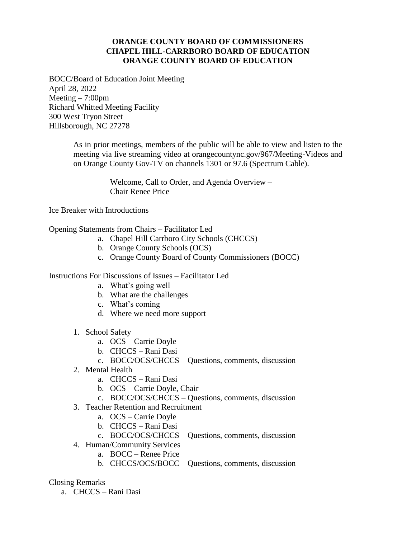## **ORANGE COUNTY BOARD OF COMMISSIONERS CHAPEL HILL-CARRBORO BOARD OF EDUCATION ORANGE COUNTY BOARD OF EDUCATION**

BOCC/Board of Education Joint Meeting April 28, 2022 Meeting  $-7:00$ pm Richard Whitted Meeting Facility 300 West Tryon Street Hillsborough, NC 27278

> As in prior meetings, members of the public will be able to view and listen to the meeting via live streaming video at orangecountync.gov/967/Meeting-Videos and on Orange County Gov-TV on channels 1301 or 97.6 (Spectrum Cable).

> > Welcome, Call to Order, and Agenda Overview – Chair Renee Price

Ice Breaker with Introductions

## Opening Statements from Chairs – Facilitator Led

- a. Chapel Hill Carrboro City Schools (CHCCS)
- b. Orange County Schools (OCS)
- c. Orange County Board of County Commissioners (BOCC)

## Instructions For Discussions of Issues – Facilitator Led

- a. What's going well
- b. What are the challenges
- c. What's coming
- d. Where we need more support
- 1. School Safety
	- a. OCS Carrie Doyle
	- b. CHCCS Rani Dasi
	- c. BOCC/OCS/CHCCS Questions, comments, discussion
- 2. Mental Health
	- a. CHCCS Rani Dasi
	- b. OCS Carrie Doyle, Chair
	- c. BOCC/OCS/CHCCS Questions, comments, discussion
- 3. Teacher Retention and Recruitment
	- a. OCS Carrie Doyle
	- b. CHCCS Rani Dasi
	- c. BOCC/OCS/CHCCS Questions, comments, discussion
- 4. Human/Community Services
	- a. BOCC Renee Price
	- b. CHCCS/OCS/BOCC Questions, comments, discussion

## Closing Remarks

a. CHCCS – Rani Dasi